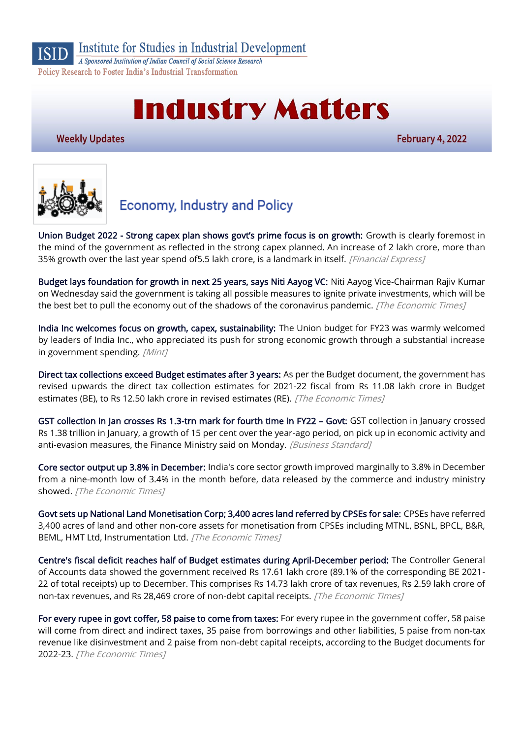

Institute for Studies in Industrial Development

A Sponsored Institution of Indian Council of Social Science Research Policy Research to Foster India's Industrial Transformation

# **Industry Matters**

**Weekly Updates** 

February 4, 2022



## **Economy, Industry and Policy**

Union Budget 2022 - [Strong capex plan shows govt's prime focus is on growth:](https://www.financialexpress.com/budget/union-budget-2022-strong-capex-plan-shows-govts-prime-focus-is-on-growth/2423578/) Growth is clearly foremost in the mind of the government as reflected in the strong capex planned. An increase of 2 lakh crore, more than 35% growth over the last year spend of5.5 lakh crore, is a landmark in itself. [Financial Express]

[Budget lays foundation for growth in next 25 years, says Niti Aayog VC:](https://economictimes.indiatimes.com/news/economy/policy/budget-lays-foundation-for-growth-in-next-25-years-says-niti-aayog-vc/articleshow/89302299.cms) Niti Aayog Vice-Chairman Rajiv Kumar on Wednesday said the government is taking all possible measures to ignite private investments, which will be the best bet to pull the economy out of the shadows of the coronavirus pandemic. [The Economic Times]

[India Inc welcomes focus on growth, capex, sustainability:](https://www.livemint.com/budget/news/india-inc-welcomes-focus-on-growth-capex-sustainability-11643734910621.html) The Union budget for FY23 was warmly welcomed by leaders of India Inc., who appreciated its push for strong economic growth through a substantial increase in government spending. [Mint]

[Direct tax collections exceed Budget estimates after 3 years:](https://economictimes.indiatimes.com/news/economy/finance/direct-tax-collections-exceed-budget-estimates-after-3-years/articleshow/89273568.cms) As per the Budget document, the government has revised upwards the direct tax collection estimates for 2021-22 fiscal from Rs 11.08 lakh crore in Budget estimates (BE), to Rs 12.50 lakh crore in revised estimates (RE). [The Economic Times]

[GST collection in Jan crosses Rs 1.3-trn mark for fourth time in FY22](https://www.business-standard.com/article/economy-policy/gst-collection-at-rs-1-38-trn-in-january-2022-finmin-122013101477_1.html) – Govt: GST collection in January crossed Rs 1.38 trillion in January, a growth of 15 per cent over the year-ago period, on pick up in economic activity and anti-evasion measures, the Finance Ministry said on Monday. [Business Standard]

[Core sector output up 3.8% in December:](https://economictimes.indiatimes.com/news/economy/indicators/core-sector-output-up-3-8-in-december/articleshow/89256594.cms) India's core sector growth improved marginally to 3.8% in December from a nine-month low of 3.4% in the month before, data released by the commerce and industry ministry showed. [The Economic Times]

[Govt sets up National Land Monetisation Corp; 3,400 acres land referred by CPSEs for sale:](https://economictimes.indiatimes.com/news/economy/finance/govt-sets-up-national-land-monetisation-corp-3400-acres-land-referred-by-cpses-for-sale/articleshow/89245312.cms) CPSEs have referred 3,400 acres of land and other non-core assets for monetisation from CPSEs including MTNL, BSNL, BPCL, B&R, BEML, HMT Ltd, Instrumentation Ltd. [The Economic Times]

[Centre's fiscal deficit reaches half of Budget estimates during April-December period:](https://economictimes.indiatimes.com/news/economy/finance/centres-fiscal-deficit-reaches-half-of-budget-estimates-during-april-december-period/articleshow/89253208.cms) The Controller General of Accounts data showed the government received Rs 17.61 lakh crore (89.1% of the corresponding BE 2021- 22 of total receipts) up to December. This comprises Rs 14.73 lakh crore of tax revenues, Rs 2.59 lakh crore of non-tax revenues, and Rs 28,469 crore of non-debt capital receipts. [The Economic Times]

[For every rupee in govt coffer, 58 paise to come from taxes:](https://economictimes.indiatimes.com/news/economy/finance/budget-2022-for-every-rupee-in-govt-coffer-58-paise-to-come-from-taxes/articleshow/89271476.cms) For every rupee in the government coffer, 58 paise will come from direct and indirect taxes, 35 paise from borrowings and other liabilities, 5 paise from non-tax revenue like disinvestment and 2 paise from non-debt capital receipts, according to the Budget documents for 2022-23. [The Economic Times]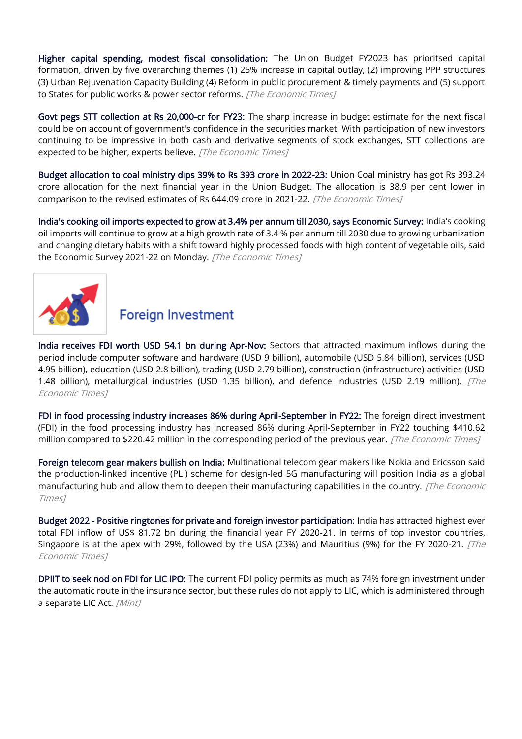[Higher capital spending, modest fiscal consolidation:](https://economictimes.indiatimes.com/news/economy/finance/budget-2022-higher-capital-spending-modest-fiscal-consolidation/articleshow/89281788.cms) The Union Budget FY2023 has prioritsed capital formation, driven by five overarching themes (1) 25% increase in capital outlay, (2) improving PPP structures (3) Urban Rejuvenation Capacity Building (4) Reform in public procurement & timely payments and (5) support to States for public works & power sector reforms. [The Economic Times]

[Govt pegs STT collection at Rs 20,000-cr for FY23:](https://economictimes.indiatimes.com/news/economy/finance/govt-pegs-stt-collection-at-rs-20000-cr-for-fy23/articleshow/89279044.cms) The sharp increase in budget estimate for the next fiscal could be on account of government's confidence in the securities market. With participation of new investors continuing to be impressive in both cash and derivative segments of stock exchanges, STT collections are expected to be higher, experts believe. [The Economic Times]

[Budget allocation to coal ministry dips 39% to Rs 393 crore in 2022-23:](https://economictimes.indiatimes.com/industry/indl-goods/svs/metals-mining/budget-allocation-to-coal-ministry-dips-39-to-rs-393-crore-in-2022-23/articleshow/89276147.cms) Union Coal ministry has got Rs 393.24 crore allocation for the next financial year in the Union Budget. The allocation is 38.9 per cent lower in comparison to the revised estimates of Rs 644.09 crore in 2021-22. [The Economic Times]

[India's cooking oil imports expected to grow at 3.4% per annum till 2030, says Economic Survey:](https://economictimes.indiatimes.com/news/economy/foreign-trade/indias-cooking-oil-imports-expected-to-grow-at-3-4-per-annum-till-2030-says-economic-survey/articleshow/89252780.cms) India's cooking oil imports will continue to grow at a high growth rate of 3.4 % per annum till 2030 due to growing urbanization and changing dietary habits with a shift toward highly processed foods with high content of vegetable oils, said the Economic Survey 2021-22 on Monday. [The Economic Times]



## **Foreign Investment**

[India receives FDI worth USD 54.1 bn during Apr-Nov:](https://economictimes.indiatimes.com/news/economy/finance/india-receives-fdi-worth-usd-54-1-bn-during-apr-nov/articleshow/89305634.cms) Sectors that attracted maximum inflows during the period include computer software and hardware (USD 9 billion), automobile (USD 5.84 billion), services (USD 4.95 billion), education (USD 2.8 billion), trading (USD 2.79 billion), construction (infrastructure) activities (USD 1.48 billion), metallurgical industries (USD 1.35 billion), and defence industries (USD 2.19 million). *[The* Economic Times]

[FDI in food processing industry increases 86% during April-September in FY22:](https://economictimes.indiatimes.com/industry/cons-products/food/fdi-in-food-processing-industry-increases-86-during-april-september-in-fy22/articleshow/89254469.cms) The foreign direct investment (FDI) in the food processing industry has increased 86% during April-September in FY22 touching \$410.62 million compared to \$220.42 million in the corresponding period of the previous year. [The Economic Times]

[Foreign telecom gear makers bullish on India:](https://economictimes.indiatimes.com/industry/telecom/telecom-news/foreign-telecom-gear-makers-bullish-on-india/articleshow/89307814.cms) Multinational telecom gear makers like Nokia and Ericsson said the production-linked incentive (PLI) scheme for design-led 5G manufacturing will position India as a global manufacturing hub and allow them to deepen their manufacturing capabilities in the country. [The Economic Times]

[Budget 2022 - Positive ringtones for private and foreign investor participation:](https://economictimes.indiatimes.com/news/economy/finance/budget-2022-positive-ringtones-for-private-and-foreign-investor-participation/articleshow/89316569.cms) India has attracted highest ever total FDI inflow of US\$ 81.72 bn during the financial year FY 2020-21. In terms of top investor countries, Singapore is at the apex with 29%, followed by the USA (23%) and Mauritius (9%) for the FY 2020-21.  $\overline{fThe}$ Economic Times]

[DPIIT to seek nod on FDI for LIC IPO:](https://www.livemint.com/news/india/cabinet-note-on-fdi-policy-for-lic-to-be-moved-soon-dpiit-secretary-11643811932540.html) The current FDI policy permits as much as 74% foreign investment under the automatic route in the insurance sector, but these rules do not apply to LIC, which is administered through a separate LIC Act. [Mint]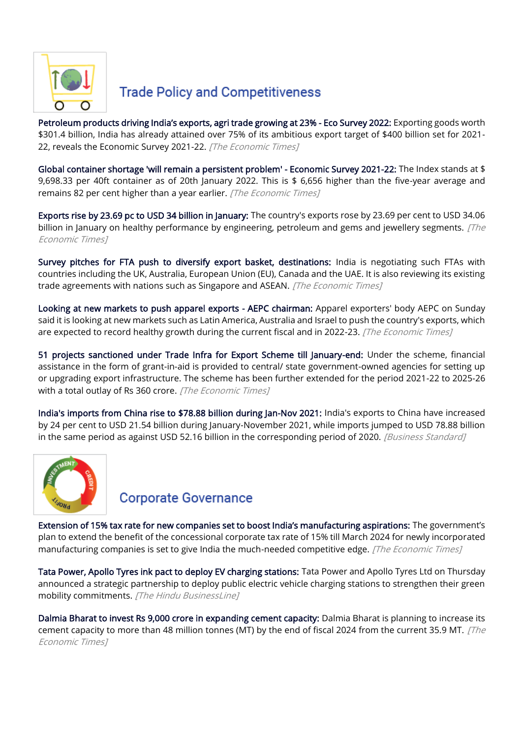

## **Trade Policy and Competitiveness**

[Petroleum products driving India's exports, agri trade growing at 23%](https://economictimes.indiatimes.com/small-biz/trade/exports/insights/petroleum-products-driving-indias-exports-agri-trade-growing-at-23-eco-survey-2022/articleshow/89247953.cms) - Eco Survey 2022: Exporting goods worth \$301.4 billion, India has already attained over 75% of its ambitious export target of \$400 billion set for 2021- 22, reveals the Economic Survey 2021-22. [The Economic Times]

[Global container shortage 'will remain a persistent problem' - Economic Survey 2021-22:](https://economictimes.indiatimes.com/small-biz/trade/exports/insights/global-container-shortage-will-remain-a-persistent-problem-economic-survey-2021-22/articleshow/89242862.cms) The Index stands at \$ 9,698.33 per 40ft container as of 20th January 2022. This is \$ 6,656 higher than the five-year average and remains 82 per cent higher than a year earlier. [The Economic Times]

[Exports rise by 23.69 pc to USD 34 billion in January:](https://economictimes.indiatimes.com/news/economy/foreign-trade/exports-rise-by-23-69-pc-to-usd-34-bn-in-jan/articleshow/89279417.cms) The country's exports rose by 23.69 per cent to USD 34.06 billion in January on healthy performance by engineering, petroleum and gems and jewellery segments. [The Economic Times]

[Survey pitches for FTA push to diversify export basket, destinations:](https://economictimes.indiatimes.com/news/economy/foreign-trade/survey-pitches-for-fta-push-to-diversify-export-basket-destinations/articleshow/89245144.cms) India is negotiating such FTAs with countries including the UK, Australia, European Union (EU), Canada and the UAE. It is also reviewing its existing trade agreements with nations such as Singapore and ASEAN. [The Economic Times]

[Looking at new markets to push apparel exports - AEPC chairman:](https://economictimes.indiatimes.com/industry/cons-products/garments-/-textiles/looking-at-new-markets-to-push-apparel-exports-aepc-chairman/articleshow/89220526.cms) Apparel exporters' body AEPC on Sunday said it is looking at new markets such as Latin America, Australia and Israel to push the country's exports, which are expected to record healthy growth during the current fiscal and in 2022-23. [The Economic Times]

[51 projects sanctioned under Trade Infra for Export Scheme till January-end:](https://economictimes.indiatimes.com/news/economy/foreign-trade/51-projects-sanctioned-under-trade-infra-for-export-scheme-till-january-end/articleshow/89303949.cms) Under the scheme, financial assistance in the form of grant-in-aid is provided to central/ state government-owned agencies for setting up or upgrading export infrastructure. The scheme has been further extended for the period 2021-22 to 2025-26 with a total outlay of Rs 360 crore. [The Economic Times]

[India's imports from China rise to \\$78.88 billion during Jan-Nov 2021:](https://www.business-standard.com/article/economy-policy/india-s-imports-from-china-rise-to-78-88-billion-during-jan-nov-2021-122020201308_1.html) India's exports to China have increased by 24 per cent to USD 21.54 billion during January-November 2021, while imports jumped to USD 78.88 billion in the same period as against USD 52.16 billion in the corresponding period of 2020. [Business Standard]



## **Corporate Governance**

[Extension of 15% tax rate for new companies set to boost India's manufacturing aspirations:](https://economictimes.indiatimes.com/news/company/corporate-trends/extension-of-15-tax-rate-for-new-companies-set-to-boost-indias-manufacturing-aspirations/articleshow/89279141.cms) The government's plan to extend the benefit of the concessional corporate tax rate of 15% till March 2024 for newly incorporated manufacturing companies is set to give India the much-needed competitive edge. [The Economic Times]

[Tata Power, Apollo Tyres ink pact to deploy EV charging stations:](https://www.thehindubusinessline.com/companies/tata-power-apollo-tyres-ink-pact-to-deploy-ev-charging-stations/article64964937.ece) Tata Power and Apollo Tyres Ltd on Thursday announced a strategic partnership to deploy public electric vehicle charging stations to strengthen their green mobility commitments. [The Hindu BusinessLine]

[Dalmia Bharat to invest Rs 9,000 crore in expanding cement capacity:](https://economictimes.indiatimes.com/industry/indl-goods/svs/cement/dalmia-bharat-to-invest-rs-9000-crore-in-expanding-cement-capacity/articleshow/89233159.cms) Dalmia Bharat is planning to increase its cement capacity to more than 48 million tonnes (MT) by the end of fiscal 2024 from the current 35.9 MT.  $/$ The Economic Times]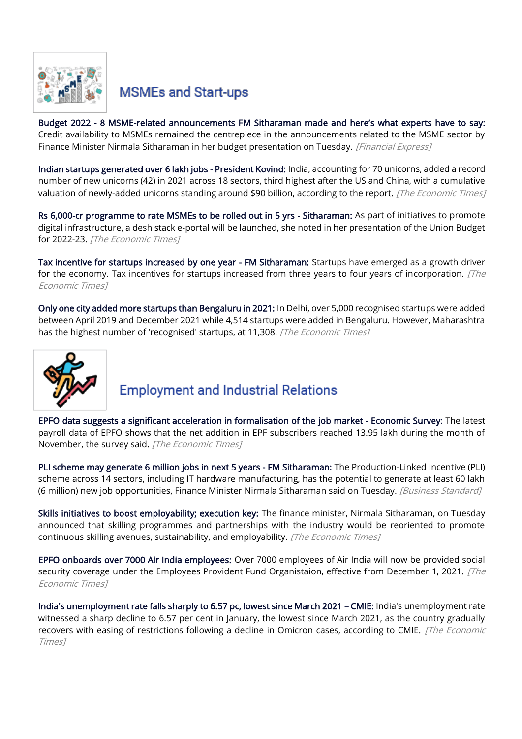

## **MSMEs and Start-ups**

Budget 2022 - 8 MSME-[related announcements FM Sitharaman made and here'](https://www.financialexpress.com/budget/msme-eodb-budget-2022-8-msme-related-announcements-fm-nirmala-sitharaman-made-and-heres-what-experts-have-to-say/2423236/)s what experts have to say: Credit availability to MSMEs remained the centrepiece in the announcements related to the MSME sector by Finance Minister Nirmala Sitharaman in her budget presentation on Tuesday. [Financial Express]

[Indian startups generated over 6 lakh jobs - President Kovind:](https://economictimes.indiatimes.com/jobs/indian-startups-generated-over-6-lakh-jobs-president-kovind/articleshow/89241648.cms) India, accounting for 70 unicorns, added a record number of new unicorns (42) in 2021 across 18 sectors, third highest after the US and China, with a cumulative valuation of newly-added unicorns standing around \$90 billion, according to the report. [The Economic Times]

[Rs 6,000-cr programme to rate MSMEs to be rolled out in 5 yrs - Sitharaman:](https://economictimes.indiatimes.com/small-biz/sme-sector/rs-6000-cr-programme-to-rate-msmes-to-be-rolled-out-in-5-yrs-sitharaman/articleshow/89266904.cms) As part of initiatives to promote digital infrastructure, a desh stack e-portal will be launched, she noted in her presentation of the Union Budget for 2022-23. [The Economic Times]

[Tax incentive for startups increased by one year - FM Sitharaman:](https://economictimes.indiatimes.com/industry/banking/finance/tax-incentive-for-startups-increased-by-one-year-fm-sitharaman/articleshow/89267779.cms) Startups have emerged as a growth driver for the economy. Tax incentives for startups increased from three years to four years of incorporation. [The Economic Times]

[Only one city added more startups than Bengaluru in 2021:](https://economictimes.indiatimes.com/news/company/corporate-trends/only-one-city-added-more-startups-than-bengaluru-in-2021/articleshow/89244210.cms) In Delhi, over 5,000 recognised startups were added between April 2019 and December 2021 while 4,514 startups were added in Bengaluru. However, Maharashtra has the highest number of 'recognised' startups, at 11,308. [The Economic Times]



## **Employment and Industrial Relations**

[EPFO data suggests a significant acceleration in formalisation of the job market - Economic Survey:](https://economictimes.indiatimes.com/jobs/epfo-data-suggests-a-significant-acceleration-in-formalisation-of-the-job-market-economic-survey/articleshow/89244654.cms) The latest payroll data of EPFO shows that the net addition in EPF subscribers reached 13.95 lakh during the month of November, the survey said. [The Economic Times]

[PLI scheme may generate 6 million jobs in next 5 years - FM Sitharaman:](https://www.business-standard.com/budget/article/pli-scheme-may-generate-6-million-jobs-in-next-5-years-fm-sitharaman-122020100561_1.html#:~:text=5-,PLI%20scheme%20may%20generate%206%20million,next%205%20years%3A%20FM%20Sitharaman&text=The%20Production%2DLinked%20Incentive%20(PLI,Nirmala%20Sitharaman%20said%20on%20Tuesday.) The Production-Linked Incentive (PLI) scheme across 14 sectors, including IT hardware manufacturing, has the potential to generate at least 60 lakh (6 million) new job opportunities, Finance Minister Nirmala Sitharaman said on Tuesday. [Business Standard]

[Skills initiatives to boost employability; execution key:](https://economictimes.indiatimes.com/jobs/skills-initiatives-to-boost-employability-execution-key/articleshow/89274928.cms) The finance minister, Nirmala Sitharaman, on Tuesday announced that skilling programmes and partnerships with the industry would be reoriented to promote continuous skilling avenues, sustainability, and employability. [The Economic Times]

[EPFO onboards over 7000 Air India employees:](https://economictimes.indiatimes.com/industry/transportation/airlines-/-aviation/epfo-onboards-over-7000-air-india-employees/articleshow/89205476.cms) Over 7000 employees of Air India will now be provided social security coverage under the Employees Provident Fund Organistaion, effective from December 1, 2021. [The Economic Times]

[India's unemployment rate falls sharply to 6.57 pc, lowest since March 2021](https://economictimes.indiatimes.com/news/economy/indicators/indias-unemployment-rate-falls-sharply-to-6-57-pc-lowest-since-march-2021-cmie/articleshow/89305656.cms) – CMIE: India's unemployment rate witnessed a sharp decline to 6.57 per cent in January, the lowest since March 2021, as the country gradually recovers with easing of restrictions following a decline in Omicron cases, according to CMIE. [The Economic Times]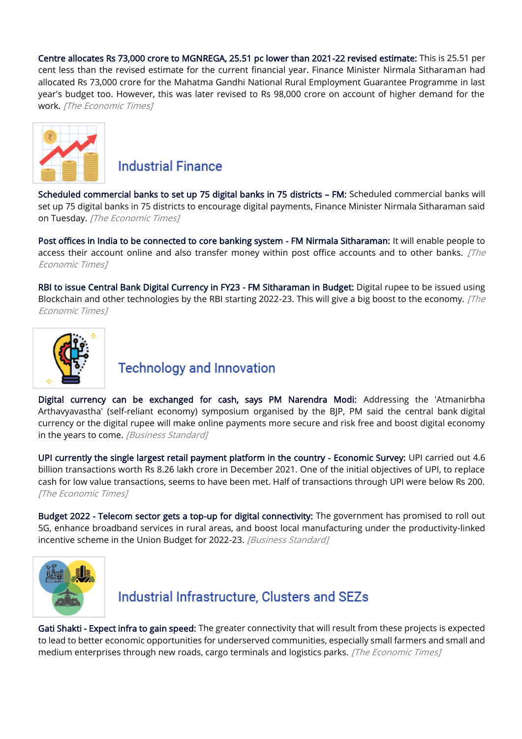[Centre allocates Rs 73,000 crore to MGNREGA, 25.51 pc lower than 2021-22 revised estimate:](https://economictimes.indiatimes.com/news/economy/policy/centre-allocates-rs-73000-crore-to-mgnrega-25-51-pc-lower-than-2021-22-revised-estimate/articleshow/89274483.cms) This is 25.51 per cent less than the revised estimate for the current financial year. Finance Minister Nirmala Sitharaman had allocated Rs 73,000 crore for the Mahatma Gandhi National Rural Employment Guarantee Programme in last year's budget too. However, this was later revised to Rs 98,000 crore on account of higher demand for the work. [The Economic Times]



#### **Industrial Finance**

[Scheduled commercial banks to set up 75 digital banks in 75 districts](https://economictimes.indiatimes.com/industry/banking/finance/banking/scheduled-commercial-banks-to-set-up-75-digital-banks-in-75-districts-fm/articleshow/89267813.cms) – FM: Scheduled commercial banks will set up 75 digital banks in 75 districts to encourage digital payments, Finance Minister Nirmala Sitharaman said on Tuesday. [The Economic Times]

[Post offices in India to be connected to core banking system - FM Nirmala Sitharaman:](https://economictimes.indiatimes.com/industry/banking/finance/banking/all-1-5-lakh-post-offices-in-india-to-be-connected-to-core-banking-system-fm-nirmala-sitharaman/articleshow/89267465.cms) It will enable people to access their account online and also transfer money within post office accounts and to other banks.  $[The$ Economic Times]

[RBI to issue Central Bank Digital Currency in FY23 - FM Sitharaman in Budget:](https://economictimes.indiatimes.com/industry/banking/finance/banking/rbi-to-issue-central-bank-digital-currency-in-fy23-fm-sitharaman-in-budget/articleshow/89267237.cms) Digital rupee to be issued using Blockchain and other technologies by the RBI starting 2022-23. This will give a big boost to the economy. [The Economic Times]



## **Technology and Innovation**

[Digital currency can be exchanged for cash, says PM Narendra Modi:](https://www.business-standard.com/budget/article/digital-rupee-can-be-exchanged-for-cash-pm-narendra-modi-122020200888_1.html) Addressing the 'Atmanirbha Arthavyavastha' (self-reliant economy) symposium organised by the BJP, PM said the central bank digital currency or the digital rupee will make online payments more secure and risk free and boost digital economy in the years to come. [Business Standard]

[UPI currently the single largest retail payment platform in the country - Economic Survey:](https://economictimes.indiatimes.com/industry/banking/finance/upi-currently-the-single-largest-retail-payment-platform-in-the-country-economic-survey/articleshow/89242932.cms) UPI carried out 4.6 billion transactions worth Rs 8.26 lakh crore in December 2021. One of the initial objectives of UPI, to replace cash for low value transactions, seems to have been met. Half of transactions through UPI were below Rs 200. [The Economic Times]

[Budget 2022 - Telecom sector gets a top-up for digital connectivity:](https://www.business-standard.com/budget/article/budget-2022-telecom-sector-gets-a-top-up-for-digital-connectivity-122020101589_1.html) The government has promised to roll out 5G, enhance broadband services in rural areas, and boost local manufacturing under the productivity-linked incentive scheme in the Union Budget for 2022-23. [Business Standard]



## Industrial Infrastructure, Clusters and SEZs

[Gati Shakti - Expect infra to gain speed:](https://economictimes.indiatimes.com/news/economy/infrastructure/gati-shakti-expect-infra-to-gain-speed/articleshow/89284354.cms) The greater connectivity that will result from these projects is expected to lead to better economic opportunities for underserved communities, especially small farmers and small and medium enterprises through new roads, cargo terminals and logistics parks. [The Economic Times]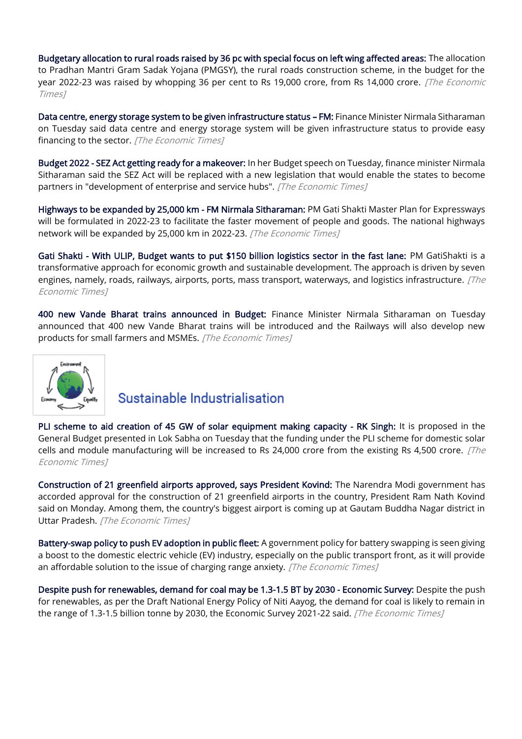[Budgetary allocation to rural roads raised by 36 pc with special focus on left wing affected areas:](https://economictimes.indiatimes.com/news/economy/infrastructure/budgetary-allocation-to-rural-roads-raised-by-36-pc-with-special-focus-on-left-wing-affected-areas/articleshow/89277384.cms) The allocation to Pradhan Mantri Gram Sadak Yojana (PMGSY), the rural roads construction scheme, in the budget for the year 2022-23 was raised by whopping 36 per cent to Rs 19,000 crore, from Rs 14,000 crore. [The Economic Times]

[Data centre, energy storage system to be given infrastructure status](https://economictimes.indiatimes.com/news/economy/infrastructure/data-centre-energy-storage-system-to-be-given-infrastructure-status-fm/articleshow/89268291.cms) – FM: Finance Minister Nirmala Sitharaman on Tuesday said data centre and energy storage system will be given infrastructure status to provide easy financing to the sector. [The Economic Times]

[Budget 2022 - SEZ Act getting ready for a makeover:](https://economictimes.indiatimes.com/news/economy/policy/budget-2022-sez-act-getting-ready-for-a-makeover/articleshow/89285578.cms) In her Budget speech on Tuesday, finance minister Nirmala Sitharaman said the SEZ Act will be replaced with a new legislation that would enable the states to become partners in "development of enterprise and service hubs". [The Economic Times]

[Highways to be expanded by 25,000 km - FM Nirmala Sitharaman:](https://economictimes.indiatimes.com/news/economy/infrastructure/highways-to-be-expanded-by-25000-km-fm-nirmala-sitharaman/articleshow/89265660.cms) PM Gati Shakti Master Plan for Expressways will be formulated in 2022-23 to facilitate the faster movement of people and goods. The national highways network will be expanded by 25,000 km in 2022-23. [The Economic Times]

[Gati Shakti - With ULIP, Budget wants to put \\$150 billion logistics sector in the fast lane:](https://economictimes.indiatimes.com/small-biz/sme-sector/gati-shakti-with-ulip-budget-wants-to-put-150-billion-logistics-sector-in-the-fast-lane/articleshow/89313268.cms) PM GatiShakti is a transformative approach for economic growth and sustainable development. The approach is driven by seven engines, namely, roads, railways, airports, ports, mass transport, waterways, and logistics infrastructure.  $[The$ Economic Times]

[400 new Vande Bharat trains announced in Budget:](https://economictimes.indiatimes.com/industry/transportation/railways/400-new-vande-bharat-trains-announced-in-budget/articleshow/89265876.cms) Finance Minister Nirmala Sitharaman on Tuesday announced that 400 new Vande Bharat trains will be introduced and the Railways will also develop new products for small farmers and MSMEs. [The Economic Times]



## Sustainable Industrialisation

[PLI scheme to aid creation of 45 GW of solar equipment making capacity - RK Singh:](https://economictimes.indiatimes.com/industry/renewables/pli-scheme-to-aid-creation-of-45-gw-of-solar-equipment-making-capacity-rk-singh/articleshow/89277266.cms) It is proposed in the General Budget presented in Lok Sabha on Tuesday that the funding under the PLI scheme for domestic solar cells and module manufacturing will be increased to Rs 24,000 crore from the existing Rs 4,500 crore.  $[The$ Economic Times]

[Construction of 21 greenfield airports approved, says President Kovind:](https://economictimes.indiatimes.com/news/economy/infrastructure/construction-of-21-greenfield-airports-approved-says-president-kovind/articleshow/89243426.cms) The Narendra Modi government has accorded approval for the construction of 21 greenfield airports in the country, President Ram Nath Kovind said on Monday. Among them, the country's biggest airport is coming up at Gautam Buddha Nagar district in Uttar Pradesh. [The Economic Times]

[Battery-swap policy to push EV adoption in public fleet:](https://economictimes.indiatimes.com/industry/renewables/battery-swap-policy-to-push-ev-adoption-in-public-fleet/articleshow/89284266.cms) A government policy for battery swapping is seen giving a boost to the domestic electric vehicle (EV) industry, especially on the public transport front, as it will provide an affordable solution to the issue of charging range anxiety. [The Economic Times]

[Despite push for renewables, demand for coal may be 1.3-1.5 BT by 2030 - Economic Survey:](https://economictimes.indiatimes.com/industry/energy/power/despite-push-for-renewables-demand-for-coal-may-be-1-3-1-5-bt-by-2030-economic-survey/articleshow/89243516.cms) Despite the push for renewables, as per the Draft National Energy Policy of Niti Aayog, the demand for coal is likely to remain in the range of 1.3-1.5 billion tonne by 2030, the Economic Survey 2021-22 said. [The Economic Times]